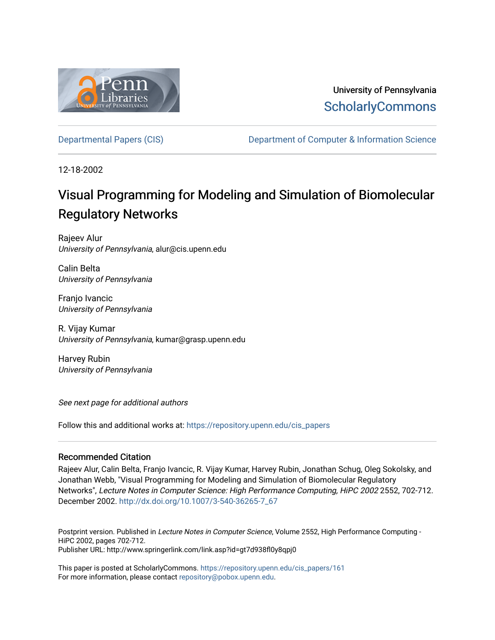

University of Pennsylvania **ScholarlyCommons** 

[Departmental Papers \(CIS\)](https://repository.upenn.edu/cis_papers) [Department of Computer & Information Science](https://repository.upenn.edu/cis) 

12-18-2002

# Visual Programming for Modeling and Simulation of Biomolecular Regulatory Networks

Rajeev Alur University of Pennsylvania, alur@cis.upenn.edu

Calin Belta University of Pennsylvania

Franjo Ivancic University of Pennsylvania

R. Vijay Kumar University of Pennsylvania, kumar@grasp.upenn.edu

Harvey Rubin University of Pennsylvania

See next page for additional authors

Follow this and additional works at: [https://repository.upenn.edu/cis\\_papers](https://repository.upenn.edu/cis_papers?utm_source=repository.upenn.edu%2Fcis_papers%2F161&utm_medium=PDF&utm_campaign=PDFCoverPages)

## Recommended Citation

Rajeev Alur, Calin Belta, Franjo Ivancic, R. Vijay Kumar, Harvey Rubin, Jonathan Schug, Oleg Sokolsky, and Jonathan Webb, "Visual Programming for Modeling and Simulation of Biomolecular Regulatory Networks", Lecture Notes in Computer Science: High Performance Computing, HiPC 2002 2552, 702-712. December 2002. [http://dx.doi.org/10.1007/3-540-36265-7\\_67](http://dx.doi.org/10.1007/3-540-36265-7_67) 

Postprint version. Published in Lecture Notes in Computer Science, Volume 2552, High Performance Computing - HiPC 2002, pages 702-712. Publisher URL: http://www.springerlink.com/link.asp?id=gt7d938fl0y8qpj0

This paper is posted at ScholarlyCommons. [https://repository.upenn.edu/cis\\_papers/161](https://repository.upenn.edu/cis_papers/161)  For more information, please contact [repository@pobox.upenn.edu.](mailto:repository@pobox.upenn.edu)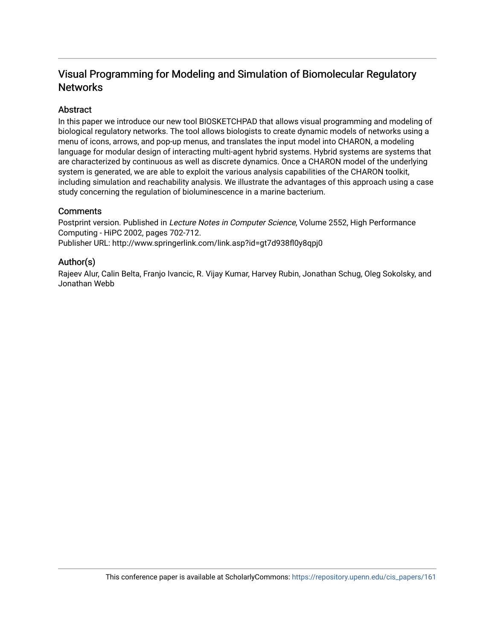## Visual Programming for Modeling and Simulation of Biomolecular Regulatory **Networks**

## Abstract

In this paper we introduce our new tool BIOSKETCHPAD that allows visual programming and modeling of biological regulatory networks. The tool allows biologists to create dynamic models of networks using a menu of icons, arrows, and pop-up menus, and translates the input model into CHARON, a modeling language for modular design of interacting multi-agent hybrid systems. Hybrid systems are systems that are characterized by continuous as well as discrete dynamics. Once a CHARON model of the underlying system is generated, we are able to exploit the various analysis capabilities of the CHARON toolkit, including simulation and reachability analysis. We illustrate the advantages of this approach using a case study concerning the regulation of bioluminescence in a marine bacterium.

## **Comments**

Postprint version. Published in Lecture Notes in Computer Science, Volume 2552, High Performance Computing - HiPC 2002, pages 702-712. Publisher URL: http://www.springerlink.com/link.asp?id=gt7d938fl0y8qpj0

## Author(s)

Rajeev Alur, Calin Belta, Franjo Ivancic, R. Vijay Kumar, Harvey Rubin, Jonathan Schug, Oleg Sokolsky, and Jonathan Webb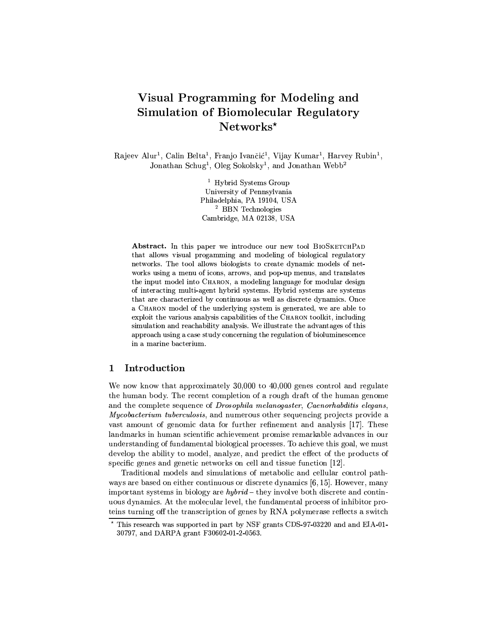## Visual Programming for Modeling and **Simulation of Biomolecular Regulatory**  $Networks^{\star}$

Rajeev Alur<sup>1</sup>, Calin Belta<sup>1</sup>, Franjo Ivančić<sup>1</sup>, Vijay Kumar<sup>1</sup>, Harvey Rubin<sup>1</sup>, Jonathan Schug<sup>1</sup>, Oleg Sokolsky<sup>1</sup>, and Jonathan Webb<sup>2</sup>

> <sup>1</sup> Hybrid Systems Group University of Pennsylvania Philadelphia, PA 19104, USA <sup>2</sup> BBN Technologies Cambridge, MA 02138, USA

Abstract. In this paper we introduce our new tool BIOSKETCHPAD that allows visual progamming and modeling of biological regulatory networks. The tool allows biologists to create dynamic models of networks using a menu of icons, arrows, and pop-up menus, and translates the input model into CHARON, a modeling language for modular design of interacting multi-agent hybrid systems. Hybrid systems are systems that are characterized by continuous as well as discrete dynamics. Once a CHARON model of the underlying system is generated, we are able to exploit the various analysis capabilities of the CHARON toolkit, including simulation and reachability analysis. We illustrate the advantages of this approach using a case study concerning the regulation of bioluminescence in a marine bacterium.

#### $\mathbf{1}$ Introduction

We now know that approximately 30,000 to 40,000 genes control and regulate the human body. The recent completion of a rough draft of the human genome and the complete sequence of *Drosophila melanoquaster*, *Caenorhabitis elegans*, *Mycobacterium tuberculosis*, and numerous other sequencing projects provide a vast amount of genomic data for further refinement and analysis [17]. These landmarks in human scientific achievement promise remarkable advances in our understanding of fundamental biological processes. To achieve this goal, we must develop the ability to model, analyze, and predict the effect of the products of specific genes and genetic networks on cell and tissue function [12].

Traditional models and simulations of metabolic and cellular control pathways are based on either continuous or discrete dynamics  $[6, 15]$ . However, many important systems in biology are  $hybrid$  – they involve both discrete and continuous dynamics. At the molecular level, the fundamental process of inhibitor proteins turning off the transcription of genes by RNA polymerase reflects a switch

<sup>\*</sup> This research was supported in part by NSF grants CDS-97-03220 and and EIA-01-30797, and DARPA grant F30602-01-2-0563.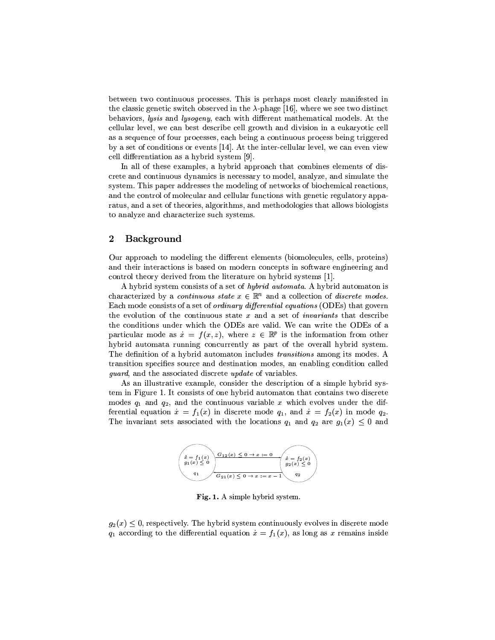between two continuous processes. This is perhaps most clearly manifested in the classic genetic switch observed in the  $\lambda$ -phage [16], where we see two distinct behaviors, lysis and lysogeny, each with different mathematical models. At the cellular level, we can best describe cell growth and division in a eukaryotic cell as a sequence of four processes, each being a continuous process being triggered by a set of conditions or events [14]. At the inter-cellular level, we can even view cell differentiation as a hybrid system [9].

In all of these examples, a hybrid approach that combines elements of discrete and continuous dynamics is necessary to model, analyze, and simulate the system. This paper addresses the modeling of networks of biochemical reactions, and the control of molecular and cellular functions with genetic regulatory apparatus, and a set of theories, algorithms, and methodologies that allows biologists to analyze and characterize such systems.

#### $\overline{2}$ **Background**

Our approach to modeling the different elements (biomolecules, cells, proteins) and their interactions is based on modern concepts in software engineering and control theory derived from the literature on hybrid systems [1].

A hybrid system consists of a set of *hybrid automata*. A hybrid automaton is characterized by a *continuous state*  $x \in \mathbb{R}^n$  and a collection of *discrete modes.* Each mode consists of a set of *ordinary differential equations* (ODEs) that govern the evolution of the continuous state  $x$  and a set of *invariants* that describe the conditions under which the ODEs are valid. We can write the ODEs of a particular mode as  $\dot{x} = f(x, z)$ , where  $z \in \mathbb{R}^p$  is the information from other hybrid automata running concurrently as part of the overall hybrid system. The definition of a hybrid automaton includes *transitions* among its modes. A transition specifies source and destination modes, an enabling condition called *guard*, and the associated discrete *update* of variables.

As an illustrative example, consider the description of a simple hybrid system in Figure 1. It consists of one hybrid automaton that contains two discrete modes  $q_1$  and  $q_2$ , and the continuous variable x which evolves under the differential equation  $\dot{x} = f_1(x)$  in discrete mode  $q_1$ , and  $\dot{x} = f_2(x)$  in mode  $q_2$ . The invariant sets associated with the locations  $q_1$  and  $q_2$  are  $g_1(x) \leq 0$  and



Fig. 1. A simple hybrid system.

 $g_2(x) \leq 0$ , respectively. The hybrid system continuously evolves in discrete mode  $q_1$  according to the differential equation  $\dot{x} = f_1(x)$ , as long as x remains inside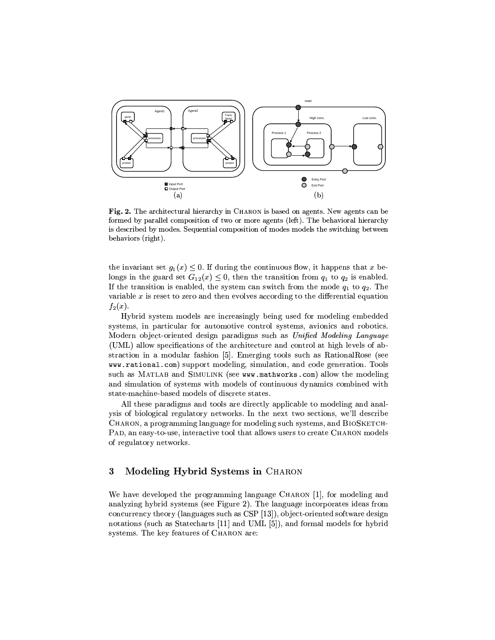

Fig. 2. The architectural hierarchy in CHARON is based on agents. New agents can be formed by parallel composition of two or more agents (left). The behavioral hierarchy is described by modes. Sequential composition of modes models the switching between behaviors (right).

the invariant set  $g_1(x) \leq 0$ . If during the continuous flow, it happens that x belongs in the guard set  $G_{12}(x) \leq 0$ , then the transition from  $q_1$  to  $q_2$  is enabled. If the transition is enabled, the system can switch from the mode  $q_1$  to  $q_2$ . The variable  $x$  is reset to zero and then evolves according to the differential equation  $f_2(x)$ .

Hybrid system models are increasingly being used for modeling embedded systems, in particular for automotive control systems, avionics and robotics. Modern object-oriented design paradigms such as Unified Modeling Language (UML) allow specifications of the architecture and control at high levels of abstraction in a modular fashion [5]. Emerging tools such as RationalRose (see www.rational.com) support modeling, simulation, and code generation. Tools such as MATLAB and SIMULINK (see www.mathworks.com) allow the modeling and simulation of systems with models of continuous dynamics combined with state-machine-based models of discrete states.

All these paradigms and tools are directly applicable to modeling and analysis of biological regulatory networks. In the next two sections, we'll describe CHARON, a programming language for modeling such systems, and BIOSKETCH-PAD, an easy-to-use, interactive tool that allows users to create CHARON models of regulatory networks.

#### Modeling Hybrid Systems in CHARON 3

We have developed the programming language CHARON [1], for modeling and analyzing hybrid systems (see Figure 2). The language incorporates ideas from concurrency theory (languages such as CSP [13]), object-oriented software design notations (such as Statecharts [11] and UML [5]), and formal models for hybrid systems. The key features of CHARON are: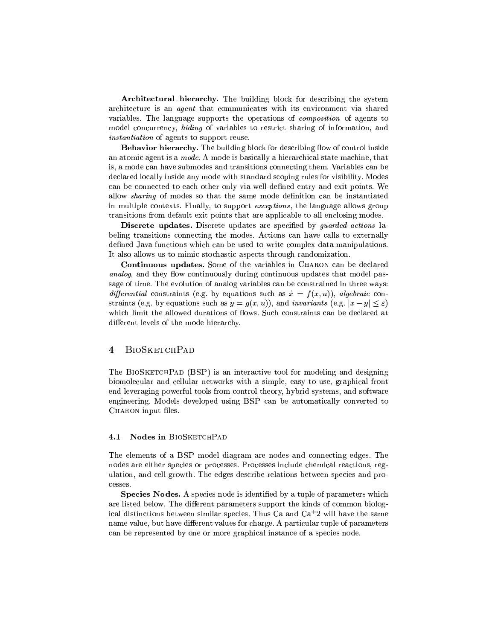Architectural hierarchy. The building block for describing the system architecture is an *agent* that communicates with its environment via shared variables. The language supports the operations of *composition* of agents to model concurrency, *hiding* of variables to restrict sharing of information, and *instantiation* of agents to support reuse.

Behavior hierarchy. The building block for describing flow of control inside an atomic agent is a *mode*. A mode is basically a hierarchical state machine, that is, a mode can have submodes and transitions connecting them. Variables can be declared locally inside any mode with standard scoping rules for visibility. Modes can be connected to each other only via well-defined entry and exit points. We allow *sharing* of modes so that the same mode definition can be instantiated in multiple contexts. Finally, to support *exceptions*, the language allows group transitions from default exit points that are applicable to all enclosing modes.

Discrete updates. Discrete updates are specified by *guarded actions* labeling transitions connecting the modes. Actions can have calls to externally defined Java functions which can be used to write complex data manipulations. It also allows us to mimic stochastic aspects through randomization.

Continuous updates. Some of the variables in CHARON can be declared *analog*, and they flow continuously during continuous updates that model passage of time. The evolution of analog variables can be constrained in three ways: differential constraints (e.g. by equations such as  $\dot{x} = f(x, u)$ ), algebraic constraints (e.g. by equations such as  $y = g(x, u)$ ), and *invariants* (e.g.  $|x - y| < \varepsilon$ ) which limit the allowed durations of flows. Such constraints can be declared at different levels of the mode hierarchy.

#### $\boldsymbol{\Lambda}$ **BIOSKETCHPAD**

The BIOSKETCHPAD (BSP) is an interactive tool for modeling and designing biomolecular and cellular networks with a simple, easy to use, graphical front end leveraging powerful tools from control theory, hybrid systems, and software engineering. Models developed using BSP can be automatically converted to CHARON input files.

#### Nodes in BIOSKETCHPAD  $4.1$

The elements of a BSP model diagram are nodes and connecting edges. The nodes are either species or processes. Processes include chemical reactions, regulation, and cell growth. The edges describe relations between species and processes.

**Species Nodes.** A species node is identified by a tuple of parameters which are listed below. The different parameters support the kinds of common biological distinctions between similar species. Thus Ca and  $Ca<sup>2</sup>$  will have the same name value, but have different values for charge. A particular tuple of parameters can be represented by one or more graphical instance of a species node.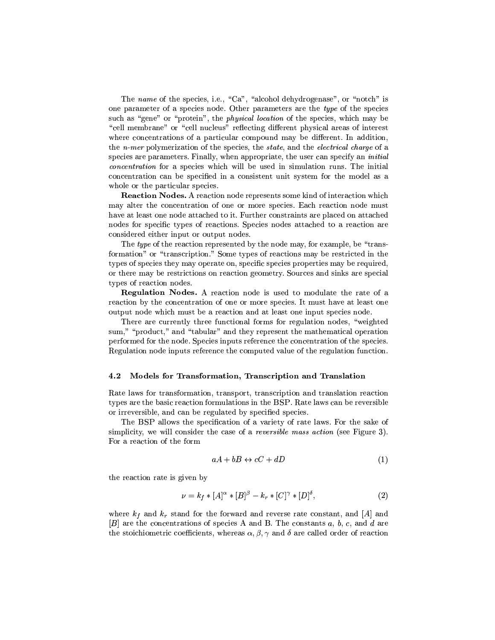The name of the species, i.e., "Ca", "alcohol dehydrogenase", or "notch" is one parameter of a species node. Other parameters are the type of the species such as "gene" or "protein", the *physical location* of the species, which may be "cell membrane" or "cell nucleus" reflecting different physical areas of interest where concentrations of a particular compound may be different. In addition, the *n*-mer polymerization of the species, the *state*, and the *electrical charge* of a species are parameters. Finally, when appropriate, the user can specify an *initial concentration* for a species which will be used in simulation runs. The initial concentration can be specified in a consistent unit system for the model as a whole or the particular species.

Reaction Nodes. A reaction node represents some kind of interaction which may alter the concentration of one or more species. Each reaction node must have at least one node attached to it. Further constraints are placed on attached nodes for specific types of reactions. Species nodes attached to a reaction are considered either input or output nodes.

The type of the reaction represented by the node may, for example, be "transformation" or "transcription." Some types of reactions may be restricted in the types of species they may operate on, specific species properties may be required. or there may be restrictions on reaction geometry. Sources and sinks are special types of reaction nodes.

Regulation Nodes. A reaction node is used to modulate the rate of a reaction by the concentration of one or more species. It must have at least one output node which must be a reaction and at least one input species node.

There are currently three functional forms for regulation nodes, "weighted" sum," "product," and "tabular" and they represent the mathematical operation performed for the node. Species inputs reference the concentration of the species. Regulation node inputs reference the computed value of the regulation function.

#### Models for Transformation, Transcription and Translation  $4.2$

Rate laws for transformation, transport, transcription and translation reaction types are the basic reaction formulations in the BSP. Rate laws can be reversible or irreversible, and can be regulated by specified species.

The BSP allows the specification of a variety of rate laws. For the sake of simplicity, we will consider the case of a *reversible mass action* (see Figure 3). For a reaction of the form

$$
aA + bB \leftrightarrow cC + dD \tag{1}
$$

the reaction rate is given by

$$
\nu = k_f * [A]^\alpha * [B]^\beta - k_r * [C]^\gamma * [D]^\delta,
$$
\n(2)

where  $k_f$  and  $k_r$  stand for the forward and reverse rate constant, and [A] and [B] are the concentrations of species A and B. The constants  $a, b, c$ , and  $d$  are the stoichiometric coefficients, whereas  $\alpha, \beta, \gamma$  and  $\delta$  are called order of reaction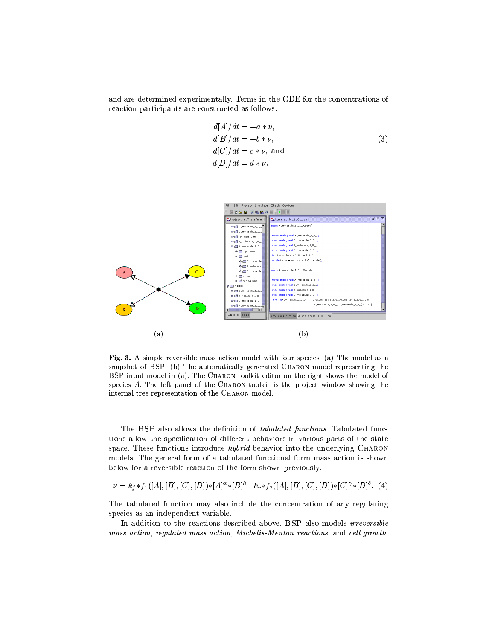and are determined experimentally. Terms in the ODE for the concentrations of reaction participants are constructed as follows:

$$
d[A]/dt = -a * \nu,
$$
  
\n
$$
d[B]/dt = -b * \nu,
$$
  
\n
$$
d[C]/dt = c * \nu,
$$
 and  
\n
$$
d[D]/dt = d * \nu.
$$
\n(3)



Fig. 3. A simple reversible mass action model with four species. (a) The model as a snapshot of BSP. (b) The automatically generated CHARON model representing the BSP input model in (a). The CHARON toolkit editor on the right shows the model of species A. The left panel of the CHARON toolkit is the project window showing the internal tree representation of the CHARON model.

The BSP also allows the definition of *tabulated functions*. Tabulated functions allow the specification of different behaviors in various parts of the state space. These functions introduce *hybrid* behavior into the underlying CHARON models. The general form of a tabulated functional form mass action is shown below for a reversible reaction of the form shown previously.

$$
\nu = k_f * f_1([A], [B], [C], [D]) * [A]^{\alpha} * [B]^{\beta} - k_r * f_2([A], [B], [C], [D]) * [C]^{\gamma} * [D]^{\delta}. \tag{4}
$$

The tabulated function may also include the concentration of any regulating species as an independent variable.

In addition to the reactions described above, BSP also models *irreversible* mass action, regulated mass action, Michelis-Menton reactions, and cell growth.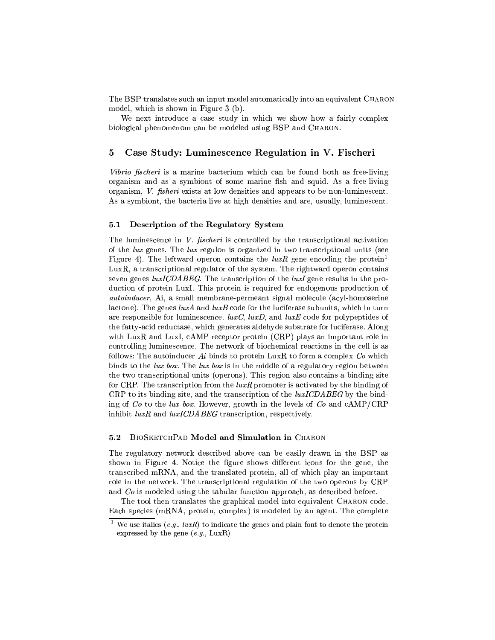The BSP translates such an input model automatically into an equivalent CHARON model, which is shown in Figure 3 (b).

We next introduce a case study in which we show how a fairly complex biological phenomenom can be modeled using BSP and CHARON.

#### 5 Case Study: Luminescence Regulation in V. Fischeri

Vibrio fischeri is a marine bacterium which can be found both as free-living organism and as a symbiont of some marine fish and squid. As a free-living organism, V. fisheri exists at low densities and appears to be non-luminescent. As a symbiont, the bacteria live at high densities and are, usually, luminescent.

#### Description of the Regulatory System  $5.1$

The luminescence in V. fischeri is controlled by the transcriptional activation of the lux genes. The lux regulon is organized in two transcriptional units (see Figure 4). The leftward operon contains the  $luxR$  gene encoding the protein<sup>1</sup> LuxR, a transcriptional regulator of the system. The rightward operon contains seven genes luxICDABEG. The transcription of the luxI gene results in the production of protein LuxI. This protein is required for endogenous production of *autoinducer*, Ai, a small membrane-permeant signal molecule (acyl-homoserine lactone). The genes  $luxA$  and  $luxB$  code for the luciferase subunits, which in turn are responsible for luminescence.  $luxC$ ,  $luxD$ , and  $luxE$  code for polypeptides of the fatty-acid reductase, which generates aldehyde substrate for luciferase. Along with LuxR and LuxI, cAMP receptor protein (CRP) plays an important role in controlling luminescence. The network of biochemical reactions in the cell is as follows: The autoinducer  $Ai$  binds to protein LuxR to form a complex  $Co$  which binds to the lax box. The lax box is in the middle of a regulatory region between the two transcriptional units (operons). This region also contains a binding site for CRP. The transcription from the  $luxR$  promoter is activated by the binding of CRP to its binding site, and the transcription of the  $luxICDABEG$  by the binding of  $Co$  to the lux box. However, growth in the levels of  $Co$  and  $cAMP/CRP$ inhibit  $luxR$  and  $luxICDABEG$  transcription, respectively.

#### $5.2$ BIOSKETCHPAD Model and Simulation in CHARON

The regulatory network described above can be easily drawn in the BSP as shown in Figure 4. Notice the figure shows different icons for the gene, the transcribed mRNA, and the translated protein, all of which play an important role in the network. The transcriptional regulation of the two operons by CRP and Co is modeled using the tabular function approach, as described before.

The tool then translates the graphical model into equivalent CHARON code. Each species (mRNA, protein, complex) is modeled by an agent. The complete

<sup>&</sup>lt;sup>1</sup> We use italics (e.g.,  $luxR$ ) to indicate the genes and plain font to denote the protein expressed by the gene  $(e.g., LuxR)$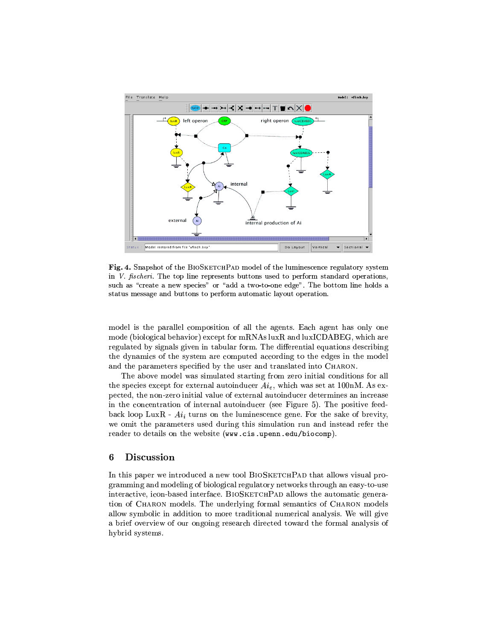

Fig. 4. Snapshot of the BIOSKETCHPAD model of the luminescence regulatory system in V. fischeri. The top line represents buttons used to perform standard operations, such as "create a new species" or "add a two-to-one edge". The bottom line holds a status message and buttons to perform automatic layout operation.

model is the parallel composition of all the agents. Each agent has only one mode (biological behavior) except for mRNAs luxR and luxICDABEG, which are regulated by signals given in tabular form. The differential equations describing the dynamics of the system are computed according to the edges in the model and the parameters specified by the user and translated into CHARON.

The above model was simulated starting from zero initial conditions for all the species except for external autoinducer  $Ai_e$ , which was set at 100nM. As expected, the non-zero initial value of external autoinducer determines an increase in the concentration of internal autoinducer (see Figure 5). The positive feedback loop LuxR -  $Ai<sub>i</sub>$  turns on the luminescence gene. For the sake of brevity, we omit the parameters used during this simulation run and instead refer the reader to details on the website (www.cis.upenn.edu/biocomp).

#### $\boldsymbol{6}$ Discussion

In this paper we introduced a new tool BIOSKETCHPAD that allows visual programming and modeling of biological regulatory networks through an easy-to-use interactive, icon-based interface. BIOSKETCHPAD allows the automatic generation of CHARON models. The underlying formal semantics of CHARON models allow symbolic in addition to more traditional numerical analysis. We will give a brief overview of our ongoing research directed toward the formal analysis of hybrid systems.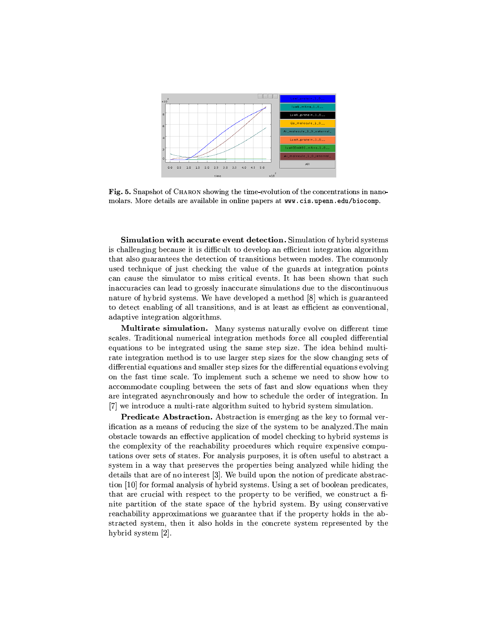

Fig. 5. Snapshot of CHARON showing the time-evolution of the concentrations in nanomolars. More details are available in online papers at www.cis.upenn.edu/biocomp.

Simulation with accurate event detection. Simulation of hybrid systems is challenging because it is difficult to develop an efficient integration algorithm that also guarantees the detection of transitions between modes. The commonly used technique of just checking the value of the guards at integration points can cause the simulator to miss critical events. It has been shown that such inaccuracies can lead to grossly inaccurate simulations due to the discontinuous nature of hybrid systems. We have developed a method [8] which is guaranteed to detect enabling of all transitions, and is at least as efficient as conventional, adaptive integration algorithms.

**Multirate simulation.** Many systems naturally evolve on different time scales. Traditional numerical integration methods force all coupled differential equations to be integrated using the same step size. The idea behind multirate integration method is to use larger step sizes for the slow changing sets of differential equations and smaller step sizes for the differential equations evolving on the fast time scale. To implement such a scheme we need to show how to accommodate coupling between the sets of fast and slow equations when they are integrated asynchronously and how to schedule the order of integration. In [7] we introduce a multi-rate algorithm suited to hybrid system simulation.

**Predicate Abstraction.** Abstraction is emerging as the key to formal verification as a means of reducing the size of the system to be analyzed. The main obstacle towards an effective application of model checking to hybrid systems is the complexity of the reachability procedures which require expensive computations over sets of states. For analysis purposes, it is often useful to abstract a system in a way that preserves the properties being analyzed while hiding the details that are of no interest [3]. We build upon the notion of predicate abstraction [10] for formal analysis of hybrid systems. Using a set of boolean predicates, that are crucial with respect to the property to be verified, we construct a finite partition of the state space of the hybrid system. By using conservative reachability approximations we guarantee that if the property holds in the abstracted system, then it also holds in the concrete system represented by the hybrid system [2].